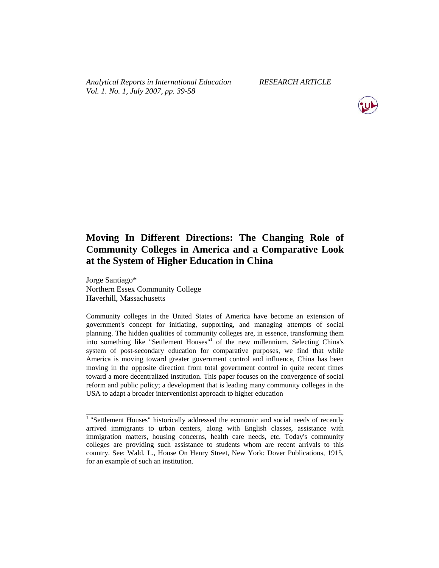*Analytical Reports in International Education RESEARCH ARTICLE Vol. 1. No. 1, July 2007, pp. 39-58* 



# **Moving In Different Directions: The Changing Role of Community Colleges in America and a Comparative Look at the System of Higher Education in China**

Jorge Santiago\* Northern Essex Community College Haverhill, Massachusetts

Community colleges in the United States of America have become an extension of government's concept for initiating, supporting, and managing attempts of social planning. The hidden qualities of community colleges are, in essence, transforming them into something like "Settlement Houses"<sup>1</sup> of the new millennium. Selecting China's system of post-secondary education for comparative purposes, we find that while America is moving toward greater government control and influence, China has been moving in the opposite direction from total government control in quite recent times toward a more decentralized institution. This paper focuses on the convergence of social reform and public policy; a development that is leading many community colleges in the USA to adapt a broader interventionist approach to higher education

<sup>&</sup>lt;sup>1</sup> "Settlement Houses" historically addressed the economic and social needs of recently arrived immigrants to urban centers, along with English classes, assistance with immigration matters, housing concerns, health care needs, etc. Today's community colleges are providing such assistance to students whom are recent arrivals to this country. See: Wald, L., House On Henry Street, New York: Dover Publications, 1915, for an example of such an institution.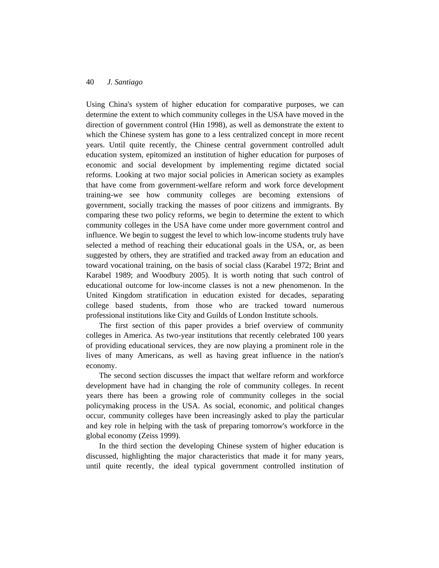Using China's system of higher education for comparative purposes, we can determine the extent to which community colleges in the USA have moved in the direction of government control (Hin 1998), as well as demonstrate the extent to which the Chinese system has gone to a less centralized concept in more recent years. Until quite recently, the Chinese central government controlled adult education system, epitomized an institution of higher education for purposes of economic and social development by implementing regime dictated social reforms. Looking at two major social policies in American society as examples that have come from government-welfare reform and work force development training-we see how community colleges are becoming extensions of government, socially tracking the masses of poor citizens and immigrants. By comparing these two policy reforms, we begin to determine the extent to which community colleges in the USA have come under more government control and influence. We begin to suggest the level to which low-income students truly have selected a method of reaching their educational goals in the USA, or, as been suggested by others, they are stratified and tracked away from an education and toward vocational training, on the basis of social class (Karabel 1972; Brint and Karabel 1989; and Woodbury 2005). It is worth noting that such control of educational outcome for low-income classes is not a new phenomenon. In the United Kingdom stratification in education existed for decades, separating college based students, from those who are tracked toward numerous professional institutions like City and Guilds of London Institute schools.

The first section of this paper provides a brief overview of community colleges in America. As two-year institutions that recently celebrated 100 years of providing educational services, they are now playing a prominent role in the lives of many Americans, as well as having great influence in the nation's economy.

The second section discusses the impact that welfare reform and workforce development have had in changing the role of community colleges. In recent years there has been a growing role of community colleges in the social policymaking process in the USA. As social, economic, and political changes occur, community colleges have been increasingly asked to play the particular and key role in helping with the task of preparing tomorrow's workforce in the global economy (Zeiss 1999).

In the third section the developing Chinese system of higher education is discussed, highlighting the major characteristics that made it for many years, until quite recently, the ideal typical government controlled institution of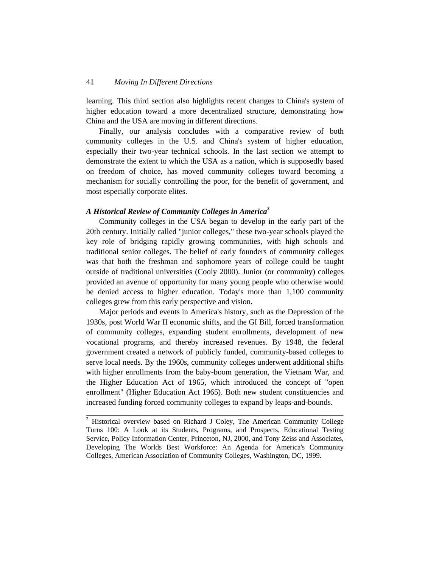learning. This third section also highlights recent changes to China's system of higher education toward a more decentralized structure, demonstrating how China and the USA are moving in different directions.

Finally, our analysis concludes with a comparative review of both community colleges in the U.S. and China's system of higher education, especially their two-year technical schools. In the last section we attempt to demonstrate the extent to which the USA as a nation, which is supposedly based on freedom of choice, has moved community colleges toward becoming a mechanism for socially controlling the poor, for the benefit of government, and most especially corporate elites.

# *A Historical Review of Community Colleges in America***<sup>2</sup>**

Community colleges in the USA began to develop in the early part of the 20th century. Initially called "junior colleges," these two-year schools played the key role of bridging rapidly growing communities, with high schools and traditional senior colleges. The belief of early founders of community colleges was that both the freshman and sophomore years of college could be taught outside of traditional universities (Cooly 2000). Junior (or community) colleges provided an avenue of opportunity for many young people who otherwise would be denied access to higher education. Today's more than 1,100 community colleges grew from this early perspective and vision.

Major periods and events in America's history, such as the Depression of the 1930s, post World War II economic shifts, and the GI Bill, forced transformation of community colleges, expanding student enrollments, development of new vocational programs, and thereby increased revenues. By 1948, the federal government created a network of publicly funded, community-based colleges to serve local needs. By the 1960s, community colleges underwent additional shifts with higher enrollments from the baby-boom generation, the Vietnam War, and the Higher Education Act of 1965, which introduced the concept of "open enrollment" (Higher Education Act 1965). Both new student constituencies and increased funding forced community colleges to expand by leaps-and-bounds.

<sup>&</sup>lt;sup>2</sup> Historical overview based on Richard J Coley, The American Community College Turns 100: A Look at its Students, Programs, and Prospects, Educational Testing Service, Policy Information Center, Princeton, NJ, 2000, and Tony Zeiss and Associates, Developing The Worlds Best Workforce: An Agenda for America's Community Colleges, American Association of Community Colleges, Washington, DC, 1999.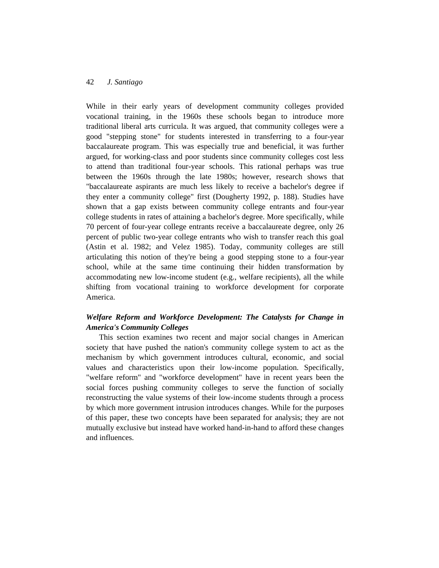While in their early years of development community colleges provided vocational training, in the 1960s these schools began to introduce more traditional liberal arts curricula. It was argued, that community colleges were a good "stepping stone" for students interested in transferring to a four-year baccalaureate program. This was especially true and beneficial, it was further argued, for working-class and poor students since community colleges cost less to attend than traditional four-year schools. This rational perhaps was true between the 1960s through the late 1980s; however, research shows that "baccalaureate aspirants are much less likely to receive a bachelor's degree if they enter a community college" first (Dougherty 1992, p. 188). Studies have shown that a gap exists between community college entrants and four-year college students in rates of attaining a bachelor's degree. More specifically, while 70 percent of four-year college entrants receive a baccalaureate degree, only 26 percent of public two-year college entrants who wish to transfer reach this goal (Astin et al. 1982; and Velez 1985). Today, community colleges are still articulating this notion of they're being a good stepping stone to a four-year school, while at the same time continuing their hidden transformation by accommodating new low-income student (e.g., welfare recipients), all the while shifting from vocational training to workforce development for corporate America.

# *Welfare Reform and Workforce Development: The Catalysts for Change in America's Community Colleges*

This section examines two recent and major social changes in American society that have pushed the nation's community college system to act as the mechanism by which government introduces cultural, economic, and social values and characteristics upon their low-income population. Specifically, "welfare reform" and "workforce development" have in recent years been the social forces pushing community colleges to serve the function of socially reconstructing the value systems of their low-income students through a process by which more government intrusion introduces changes. While for the purposes of this paper, these two concepts have been separated for analysis; they are not mutually exclusive but instead have worked hand-in-hand to afford these changes and influences.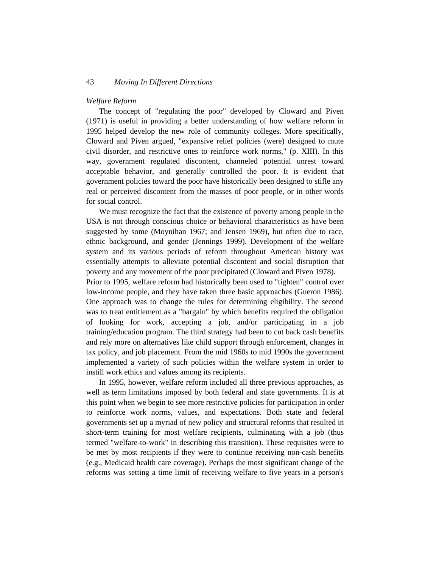#### *Welfare Reform*

The concept of "regulating the poor" developed by Cloward and Piven (1971) is useful in providing a better understanding of how welfare reform in 1995 helped develop the new role of community colleges. More specifically, Cloward and Piven argued, "expansive relief policies (were) designed to mute civil disorder, and restrictive ones to reinforce work norms," (p. XIII). In this way, government regulated discontent, channeled potential unrest toward acceptable behavior, and generally controlled the poor. It is evident that government policies toward the poor have historically been designed to stifle any real or perceived discontent from the masses of poor people, or in other words for social control.

We must recognize the fact that the existence of poverty among people in the USA is not through conscious choice or behavioral characteristics as have been suggested by some (Moynihan 1967; and Jensen 1969), but often due to race, ethnic background, and gender (Jennings 1999). Development of the welfare system and its various periods of reform throughout American history was essentially attempts to alleviate potential discontent and social disruption that poverty and any movement of the poor precipitated (Cloward and Piven 1978).

Prior to 1995, welfare reform had historically been used to "tighten" control over low-income people, and they have taken three basic approaches (Gueron 1986). One approach was to change the rules for determining eligibility. The second was to treat entitlement as a "bargain" by which benefits required the obligation of looking for work, accepting a job, and/or participating in a job training/education program. The third strategy had been to cut back cash benefits and rely more on alternatives like child support through enforcement, changes in tax policy, and job placement. From the mid 1960s to mid 1990s the government implemented a variety of such policies within the welfare system in order to instill work ethics and values among its recipients.

In 1995, however, welfare reform included all three previous approaches, as well as term limitations imposed by both federal and state governments. It is at this point when we begin to see more restrictive policies for participation in order to reinforce work norms, values, and expectations. Both state and federal governments set up a myriad of new policy and structural reforms that resulted in short-term training for most welfare recipients, culminating with a job (thus termed "welfare-to-work" in describing this transition). These requisites were to be met by most recipients if they were to continue receiving non-cash benefits (e.g., Medicaid health care coverage). Perhaps the most significant change of the reforms was setting a time limit of receiving welfare to five years in a person's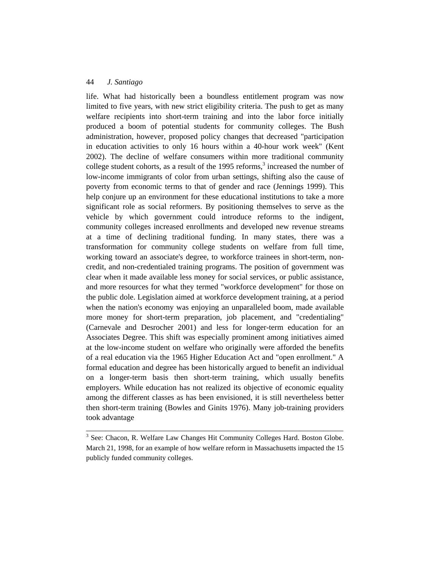life. What had historically been a boundless entitlement program was now limited to five years, with new strict eligibility criteria. The push to get as many welfare recipients into short-term training and into the labor force initially produced a boom of potential students for community colleges. The Bush administration, however, proposed policy changes that decreased "participation in education activities to only 16 hours within a 40-hour work week" (Kent 2002). The decline of welfare consumers within more traditional community college student cohorts, as a result of the  $1995$  reforms,<sup>3</sup> increased the number of low-income immigrants of color from urban settings, shifting also the cause of poverty from economic terms to that of gender and race (Jennings 1999). This help conjure up an environment for these educational institutions to take a more significant role as social reformers. By positioning themselves to serve as the vehicle by which government could introduce reforms to the indigent, community colleges increased enrollments and developed new revenue streams at a time of declining traditional funding. In many states, there was a transformation for community college students on welfare from full time, working toward an associate's degree, to workforce trainees in short-term, noncredit, and non-credentialed training programs. The position of government was clear when it made available less money for social services, or public assistance, and more resources for what they termed "workforce development" for those on the public dole. Legislation aimed at workforce development training, at a period when the nation's economy was enjoying an unparalleled boom, made available more money for short-term preparation, job placement, and "credentialing" (Carnevale and Desrocher 2001) and less for longer-term education for an Associates Degree. This shift was especially prominent among initiatives aimed at the low-income student on welfare who originally were afforded the benefits of a real education via the 1965 Higher Education Act and "open enrollment." A formal education and degree has been historically argued to benefit an individual on a longer-term basis then short-term training, which usually benefits employers. While education has not realized its objective of economic equality among the different classes as has been envisioned, it is still nevertheless better then short-term training (Bowles and Ginits 1976). Many job-training providers took advantage

<sup>&</sup>lt;sup>3</sup> See: Chacon, R. Welfare Law Changes Hit Community Colleges Hard. Boston Globe. March 21, 1998, for an example of how welfare reform in Massachusetts impacted the 15 publicly funded community colleges.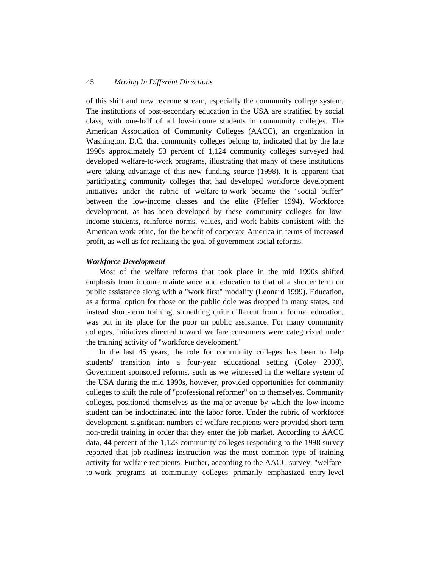of this shift and new revenue stream, especially the community college system. The institutions of post-secondary education in the USA are stratified by social class, with one-half of all low-income students in community colleges. The American Association of Community Colleges (AACC), an organization in Washington, D.C. that community colleges belong to, indicated that by the late 1990s approximately 53 percent of 1,124 community colleges surveyed had developed welfare-to-work programs, illustrating that many of these institutions were taking advantage of this new funding source (1998). It is apparent that participating community colleges that had developed workforce development initiatives under the rubric of welfare-to-work became the "social buffer" between the low-income classes and the elite (Pfeffer 1994). Workforce development, as has been developed by these community colleges for lowincome students, reinforce norms, values, and work habits consistent with the American work ethic, for the benefit of corporate America in terms of increased profit, as well as for realizing the goal of government social reforms.

#### *Workforce Development*

Most of the welfare reforms that took place in the mid 1990s shifted emphasis from income maintenance and education to that of a shorter term on public assistance along with a "work first" modality (Leonard 1999). Education, as a formal option for those on the public dole was dropped in many states, and instead short-term training, something quite different from a formal education, was put in its place for the poor on public assistance. For many community colleges, initiatives directed toward welfare consumers were categorized under the training activity of "workforce development."

In the last 45 years, the role for community colleges has been to help students' transition into a four-year educational setting (Coley 2000). Government sponsored reforms, such as we witnessed in the welfare system of the USA during the mid 1990s, however, provided opportunities for community colleges to shift the role of "professional reformer" on to themselves. Community colleges, positioned themselves as the major avenue by which the low-income student can be indoctrinated into the labor force. Under the rubric of workforce development, significant numbers of welfare recipients were provided short-term non-credit training in order that they enter the job market. According to AACC data, 44 percent of the 1,123 community colleges responding to the 1998 survey reported that job-readiness instruction was the most common type of training activity for welfare recipients. Further, according to the AACC survey, "welfareto-work programs at community colleges primarily emphasized entry-level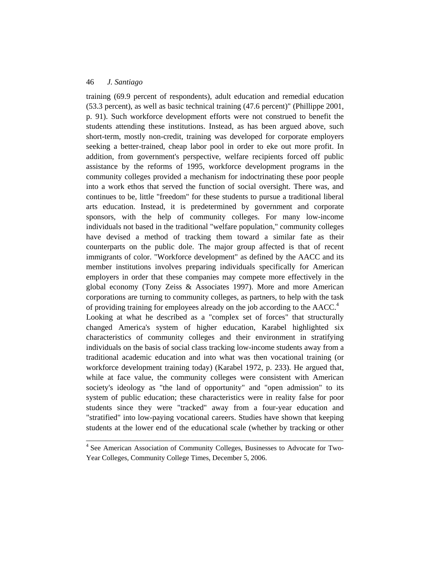training (69.9 percent of respondents), adult education and remedial education (53.3 percent), as well as basic technical training (47.6 percent)" (Phillippe 2001, p. 91). Such workforce development efforts were not construed to benefit the students attending these institutions. Instead, as has been argued above, such short-term, mostly non-credit, training was developed for corporate employers seeking a better-trained, cheap labor pool in order to eke out more profit. In addition, from government's perspective, welfare recipients forced off public assistance by the reforms of 1995, workforce development programs in the community colleges provided a mechanism for indoctrinating these poor people into a work ethos that served the function of social oversight. There was, and continues to be, little "freedom" for these students to pursue a traditional liberal arts education. Instead, it is predetermined by government and corporate sponsors, with the help of community colleges. For many low-income individuals not based in the traditional "welfare population," community colleges have devised a method of tracking them toward a similar fate as their counterparts on the public dole. The major group affected is that of recent immigrants of color. "Workforce development" as defined by the AACC and its member institutions involves preparing individuals specifically for American employers in order that these companies may compete more effectively in the global economy (Tony Zeiss & Associates 1997). More and more American corporations are turning to community colleges, as partners, to help with the task of providing training for employees already on the job according to the AACC.<sup>4</sup> Looking at what he described as a "complex set of forces" that structurally changed America's system of higher education, Karabel highlighted six characteristics of community colleges and their environment in stratifying individuals on the basis of social class tracking low-income students away from a traditional academic education and into what was then vocational training (or workforce development training today) (Karabel 1972, p. 233). He argued that, while at face value, the community colleges were consistent with American society's ideology as "the land of opportunity" and "open admission" to its system of public education; these characteristics were in reality false for poor students since they were "tracked" away from a four-year education and "stratified" into low-paying vocational careers. Studies have shown that keeping students at the lower end of the educational scale (whether by tracking or other

<sup>4</sup> See American Association of Community Colleges, Businesses to Advocate for Two-Year Colleges, Community College Times, December 5, 2006.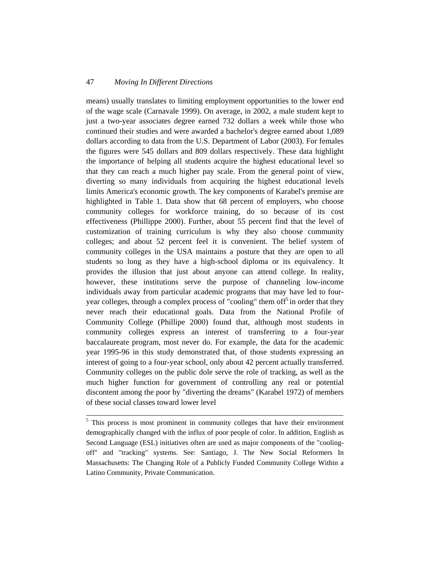means) usually translates to limiting employment opportunities to the lower end of the wage scale (Carnavale 1999). On average, in 2002, a male student kept to just a two-year associates degree earned 732 dollars a week while those who continued their studies and were awarded a bachelor's degree earned about 1,089 dollars according to data from the U.S. Department of Labor (2003). For females the figures were 545 dollars and 809 dollars respectively. These data highlight the importance of helping all students acquire the highest educational level so that they can reach a much higher pay scale. From the general point of view, diverting so many individuals from acquiring the highest educational levels limits America's economic growth. The key components of Karabel's premise are highlighted in Table 1. Data show that 68 percent of employers, who choose community colleges for workforce training, do so because of its cost effectiveness (Phillippe 2000). Further, about 55 percent find that the level of customization of training curriculum is why they also choose community colleges; and about 52 percent feel it is convenient. The belief system of community colleges in the USA maintains a posture that they are open to all students so long as they have a high-school diploma or its equivalency. It provides the illusion that just about anyone can attend college. In reality, however, these institutions serve the purpose of channeling low-income individuals away from particular academic programs that may have led to fouryear colleges, through a complex process of "cooling" them off<sup>5</sup> in order that they never reach their educational goals. Data from the National Profile of Community College (Phillipe 2000) found that, although most students in community colleges express an interest of transferring to a four-year baccalaureate program, most never do. For example, the data for the academic year 1995-96 in this study demonstrated that, of those students expressing an interest of going to a four-year school, only about 42 percent actually transferred. Community colleges on the public dole serve the role of tracking, as well as the much higher function for government of controlling any real or potential discontent among the poor by "diverting the dreams" (Karabel 1972) of members of these social classes toward lower level

<sup>&</sup>lt;sup>5</sup> This process is most prominent in community colleges that have their environment demographically changed with the influx of poor people of color. In addition, English as Second Language (ESL) initiatives often are used as major components of the "coolingoff" and "tracking" systems. See: Santiago, J. The New Social Reformers In Massachusetts: The Changing Role of a Publicly Funded Community College Within a Latino Community, Private Communication.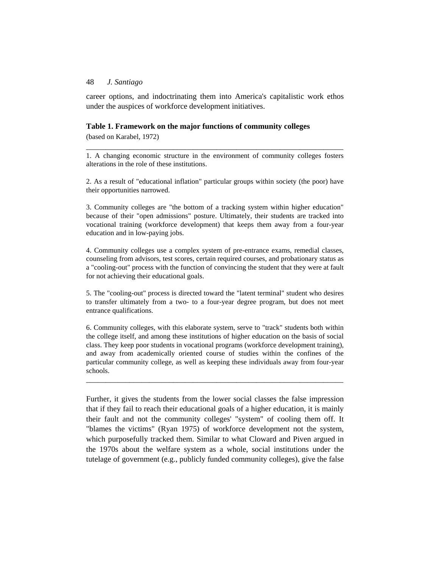career options, and indoctrinating them into America's capitalistic work ethos under the auspices of workforce development initiatives.

#### **Table 1. Framework on the major functions of community colleges**

(based on Karabel, 1972)

\_\_\_\_\_\_\_\_\_\_\_\_\_\_\_\_\_\_\_\_\_\_\_\_\_\_\_\_\_\_\_\_\_\_\_\_\_\_\_\_\_\_\_\_\_\_\_\_\_\_\_\_\_\_\_\_\_\_\_\_\_\_\_\_\_ 1. A changing economic structure in the environment of community colleges fosters alterations in the role of these institutions.

2. As a result of "educational inflation" particular groups within society (the poor) have their opportunities narrowed.

3. Community colleges are "the bottom of a tracking system within higher education" because of their "open admissions" posture. Ultimately, their students are tracked into vocational training (workforce development) that keeps them away from a four-year education and in low-paying jobs.

4. Community colleges use a complex system of pre-entrance exams, remedial classes, counseling from advisors, test scores, certain required courses, and probationary status as a "cooling-out" process with the function of convincing the student that they were at fault for not achieving their educational goals.

5. The "cooling-out" process is directed toward the "latent terminal" student who desires to transfer ultimately from a two- to a four-year degree program, but does not meet entrance qualifications.

6. Community colleges, with this elaborate system, serve to "track" students both within the college itself, and among these institutions of higher education on the basis of social class. They keep poor students in vocational programs (workforce development training), and away from academically oriented course of studies within the confines of the particular community college, as well as keeping these individuals away from four-year schools.

\_\_\_\_\_\_\_\_\_\_\_\_\_\_\_\_\_\_\_\_\_\_\_\_\_\_\_\_\_\_\_\_\_\_\_\_\_\_\_\_\_\_\_\_\_\_\_\_\_\_\_\_\_\_\_\_\_\_\_\_\_\_\_\_\_

Further, it gives the students from the lower social classes the false impression that if they fail to reach their educational goals of a higher education, it is mainly their fault and not the community colleges' "system" of cooling them off. It "blames the victims" (Ryan 1975) of workforce development not the system, which purposefully tracked them. Similar to what Cloward and Piven argued in the 1970s about the welfare system as a whole, social institutions under the tutelage of government (e.g., publicly funded community colleges), give the false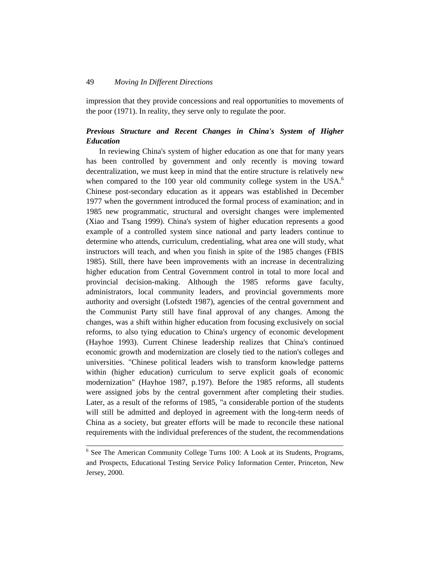impression that they provide concessions and real opportunities to movements of the poor (1971). In reality, they serve only to regulate the poor.

# *Previous Structure and Recent Changes in China's System of Higher Education*

In reviewing China's system of higher education as one that for many years has been controlled by government and only recently is moving toward decentralization, we must keep in mind that the entire structure is relatively new when compared to the 100 year old community college system in the USA.<sup>6</sup> Chinese post-secondary education as it appears was established in December 1977 when the government introduced the formal process of examination; and in 1985 new programmatic, structural and oversight changes were implemented (Xiao and Tsang 1999). China's system of higher education represents a good example of a controlled system since national and party leaders continue to determine who attends, curriculum, credentialing, what area one will study, what instructors will teach, and when you finish in spite of the 1985 changes (FBIS 1985). Still, there have been improvements with an increase in decentralizing higher education from Central Government control in total to more local and provincial decision-making. Although the 1985 reforms gave faculty, administrators, local community leaders, and provincial governments more authority and oversight (Lofstedt 1987), agencies of the central government and the Communist Party still have final approval of any changes. Among the changes, was a shift within higher education from focusing exclusively on social reforms, to also tying education to China's urgency of economic development (Hayhoe 1993). Current Chinese leadership realizes that China's continued economic growth and modernization are closely tied to the nation's colleges and universities. "Chinese political leaders wish to transform knowledge patterns within (higher education) curriculum to serve explicit goals of economic modernization" (Hayhoe 1987, p.197). Before the 1985 reforms, all students were assigned jobs by the central government after completing their studies. Later, as a result of the reforms of 1985, "a considerable portion of the students will still be admitted and deployed in agreement with the long-term needs of China as a society, but greater efforts will be made to reconcile these national requirements with the individual preferences of the student, the recommendations

<sup>&</sup>lt;sup>6</sup> See The American Community College Turns 100: A Look at its Students, Programs, and Prospects, Educational Testing Service Policy Information Center, Princeton, New Jersey, 2000.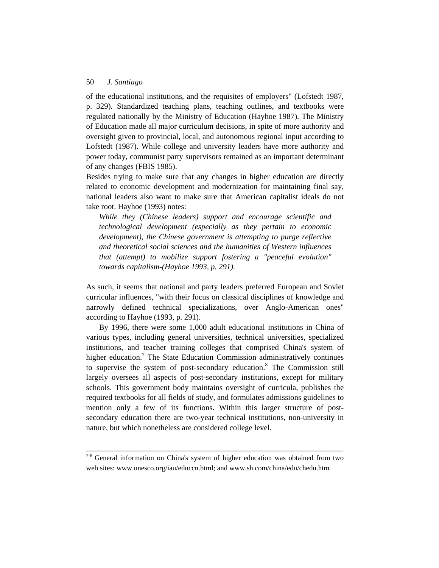of the educational institutions, and the requisites of employers" (Lofstedt 1987, p. 329). Standardized teaching plans, teaching outlines, and textbooks were regulated nationally by the Ministry of Education (Hayhoe 1987). The Ministry of Education made all major curriculum decisions, in spite of more authority and oversight given to provincial, local, and autonomous regional input according to Lofstedt (1987). While college and university leaders have more authority and power today, communist party supervisors remained as an important determinant of any changes (FBIS 1985).

Besides trying to make sure that any changes in higher education are directly related to economic development and modernization for maintaining final say, national leaders also want to make sure that American capitalist ideals do not take root. Hayhoe (1993) notes:

*While they (Chinese leaders) support and encourage scientific and technological development (especially as they pertain to economic development), the Chinese government is attempting to purge reflective and theoretical social sciences and the humanities of Western influences that (attempt) to mobilize support fostering a "peaceful evolution" towards capitalism-(Hayhoe 1993, p. 291).* 

As such, it seems that national and party leaders preferred European and Soviet curricular influences, "with their focus on classical disciplines of knowledge and narrowly defined technical specializations, over Anglo-American ones" according to Hayhoe (1993, p. 291).

By 1996, there were some 1,000 adult educational institutions in China of various types, including general universities, technical universities, specialized institutions, and teacher training colleges that comprised China's system of higher education.<sup>7</sup> The State Education Commission administratively continues to supervise the system of post-secondary education.<sup>8</sup> The Commission still largely oversees all aspects of post-secondary institutions, except for military schools. This government body maintains oversight of curricula, publishes the required textbooks for all fields of study, and formulates admissions guidelines to mention only a few of its functions. Within this larger structure of postsecondary education there are two-year technical institutions, non-university in nature, but which nonetheless are considered college level.

<sup>7-8</sup> General information on China's system of higher education was obtained from two web sites: www.unesco.org/iau/educcn.html; and www.sh.com/china/edu/chedu.htm.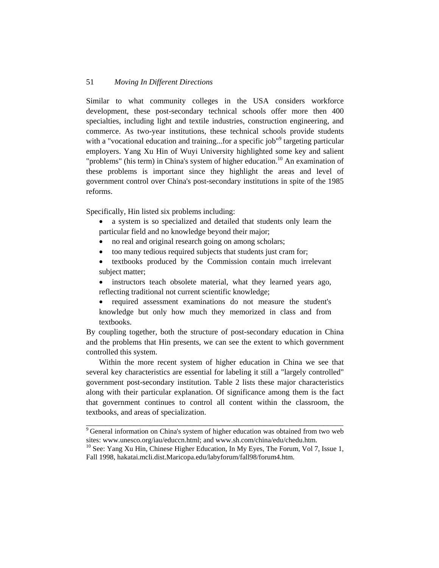Similar to what community colleges in the USA considers workforce development, these post-secondary technical schools offer more then 400 specialties, including light and textile industries, construction engineering, and commerce. As two-year institutions, these technical schools provide students with a "vocational education and training...for a specific job"<sup>9</sup> targeting particular employers. Yang Xu Hin of Wuyi University highlighted some key and salient "problems" (his term) in China's system of higher education.<sup>10</sup> An examination of these problems is important since they highlight the areas and level of government control over China's post-secondary institutions in spite of the 1985 reforms.

Specifically, Hin listed six problems including:

- a system is so specialized and detailed that students only learn the particular field and no knowledge beyond their major;
- no real and original research going on among scholars;
- too many tedious required subjects that students just cram for;
- textbooks produced by the Commission contain much irrelevant subject matter;
- instructors teach obsolete material, what they learned years ago, reflecting traditional not current scientific knowledge;
- required assessment examinations do not measure the student's knowledge but only how much they memorized in class and from textbooks.

By coupling together, both the structure of post-secondary education in China and the problems that Hin presents, we can see the extent to which government controlled this system.

Within the more recent system of higher education in China we see that several key characteristics are essential for labeling it still a "largely controlled" government post-secondary institution. Table 2 lists these major characteristics along with their particular explanation. Of significance among them is the fact that government continues to control all content within the classroom, the textbooks, and areas of specialization.

\_\_\_\_\_\_\_\_\_\_\_\_\_\_\_\_\_\_\_\_\_\_\_\_\_\_\_\_\_\_\_\_\_\_\_\_\_\_\_\_\_\_\_\_\_\_\_\_\_\_\_\_\_\_\_\_\_\_\_\_\_\_\_\_\_ <sup>9</sup> General information on China's system of higher education was obtained from two web sites: www.unesco.org/iau/educcn.html; and www.sh.com/china/edu/chedu.htm.

<sup>&</sup>lt;sup>10</sup> See: Yang Xu Hin, Chinese Higher Education, In My Eyes, The Forum, Vol 7, Issue 1, Fall 1998, hakatai.mcli.dist.Maricopa.edu/labyforum/fall98/forum4.htm.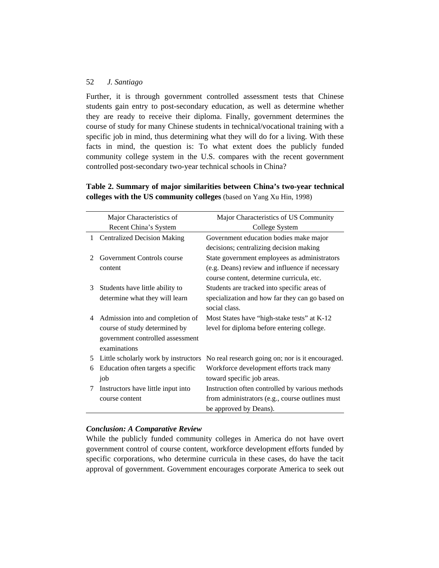Further, it is through government controlled assessment tests that Chinese students gain entry to post-secondary education, as well as determine whether they are ready to receive their diploma. Finally, government determines the course of study for many Chinese students in technical/vocational training with a specific job in mind, thus determining what they will do for a living. With these facts in mind, the question is: To what extent does the publicly funded community college system in the U.S. compares with the recent government controlled post-secondary two-year technical schools in China?

|                             | Major Characteristics of             | Major Characteristics of US Community            |
|-----------------------------|--------------------------------------|--------------------------------------------------|
|                             | Recent China's System                | College System                                   |
| 1                           | <b>Centralized Decision Making</b>   | Government education bodies make major           |
|                             |                                      | decisions; centralizing decision making          |
| $\mathcal{D}_{\mathcal{L}}$ | Government Controls course           | State government employees as administrators     |
|                             | content                              | (e.g. Deans) review and influence if necessary   |
|                             |                                      | course content, determine curricula, etc.        |
| 3                           | Students have little ability to      | Students are tracked into specific areas of      |
|                             | determine what they will learn       | specialization and how far they can go based on  |
|                             |                                      | social class.                                    |
| 4                           | Admission into and completion of     | Most States have "high-stake tests" at K-12      |
|                             | course of study determined by        | level for diploma before entering college.       |
|                             | government controlled assessment     |                                                  |
|                             | examinations                         |                                                  |
| 5                           | Little scholarly work by instructors | No real research going on; nor is it encouraged. |
| 6                           | Education often targets a specific   | Workforce development efforts track many         |
|                             | job                                  | toward specific job areas.                       |
| 7                           | Instructors have little input into   | Instruction often controlled by various methods  |
|                             | course content                       | from administrators (e.g., course outlines must  |
|                             |                                      | be approved by Deans).                           |

**Table 2. Summary of major similarities between China's two-year technical colleges with the US community colleges** (based on Yang Xu Hin, 1998)

# *Conclusion: A Comparative Review*

While the publicly funded community colleges in America do not have overt government control of course content, workforce development efforts funded by specific corporations, who determine curricula in these cases, do have the tacit approval of government. Government encourages corporate America to seek out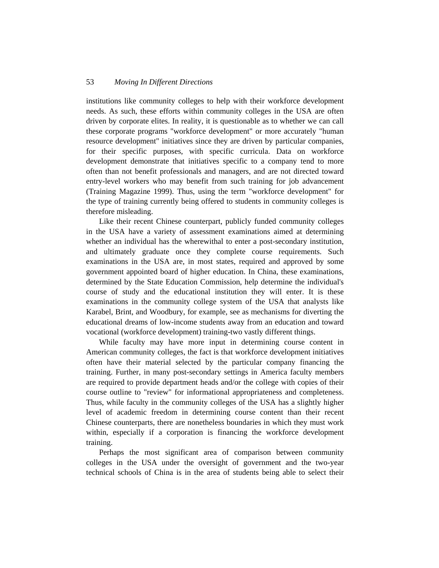institutions like community colleges to help with their workforce development needs. As such, these efforts within community colleges in the USA are often driven by corporate elites. In reality, it is questionable as to whether we can call these corporate programs "workforce development" or more accurately "human resource development" initiatives since they are driven by particular companies, for their specific purposes, with specific curricula. Data on workforce development demonstrate that initiatives specific to a company tend to more often than not benefit professionals and managers, and are not directed toward entry-level workers who may benefit from such training for job advancement (Training Magazine 1999). Thus, using the term "workforce development" for the type of training currently being offered to students in community colleges is therefore misleading.

Like their recent Chinese counterpart, publicly funded community colleges in the USA have a variety of assessment examinations aimed at determining whether an individual has the wherewithal to enter a post-secondary institution, and ultimately graduate once they complete course requirements. Such examinations in the USA are, in most states, required and approved by some government appointed board of higher education. In China, these examinations, determined by the State Education Commission, help determine the individual's course of study and the educational institution they will enter. It is these examinations in the community college system of the USA that analysts like Karabel, Brint, and Woodbury, for example, see as mechanisms for diverting the educational dreams of low-income students away from an education and toward vocational (workforce development) training-two vastly different things.

While faculty may have more input in determining course content in American community colleges, the fact is that workforce development initiatives often have their material selected by the particular company financing the training. Further, in many post-secondary settings in America faculty members are required to provide department heads and/or the college with copies of their course outline to "review" for informational appropriateness and completeness. Thus, while faculty in the community colleges of the USA has a slightly higher level of academic freedom in determining course content than their recent Chinese counterparts, there are nonetheless boundaries in which they must work within, especially if a corporation is financing the workforce development training.

Perhaps the most significant area of comparison between community colleges in the USA under the oversight of government and the two-year technical schools of China is in the area of students being able to select their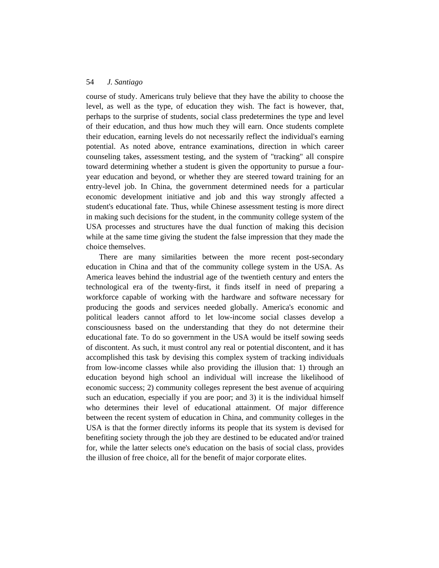course of study. Americans truly believe that they have the ability to choose the level, as well as the type, of education they wish. The fact is however, that, perhaps to the surprise of students, social class predetermines the type and level of their education, and thus how much they will earn. Once students complete their education, earning levels do not necessarily reflect the individual's earning potential. As noted above, entrance examinations, direction in which career counseling takes, assessment testing, and the system of "tracking" all conspire toward determining whether a student is given the opportunity to pursue a fouryear education and beyond, or whether they are steered toward training for an entry-level job. In China, the government determined needs for a particular economic development initiative and job and this way strongly affected a student's educational fate. Thus, while Chinese assessment testing is more direct in making such decisions for the student, in the community college system of the USA processes and structures have the dual function of making this decision while at the same time giving the student the false impression that they made the choice themselves.

There are many similarities between the more recent post-secondary education in China and that of the community college system in the USA. As America leaves behind the industrial age of the twentieth century and enters the technological era of the twenty-first, it finds itself in need of preparing a workforce capable of working with the hardware and software necessary for producing the goods and services needed globally. America's economic and political leaders cannot afford to let low-income social classes develop a consciousness based on the understanding that they do not determine their educational fate. To do so government in the USA would be itself sowing seeds of discontent. As such, it must control any real or potential discontent, and it has accomplished this task by devising this complex system of tracking individuals from low-income classes while also providing the illusion that: 1) through an education beyond high school an individual will increase the likelihood of economic success; 2) community colleges represent the best avenue of acquiring such an education, especially if you are poor; and 3) it is the individual himself who determines their level of educational attainment. Of major difference between the recent system of education in China, and community colleges in the USA is that the former directly informs its people that its system is devised for benefiting society through the job they are destined to be educated and/or trained for, while the latter selects one's education on the basis of social class, provides the illusion of free choice, all for the benefit of major corporate elites.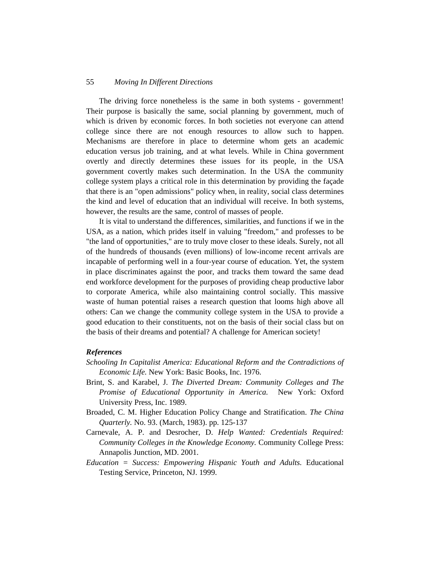The driving force nonetheless is the same in both systems - government! Their purpose is basically the same, social planning by government, much of which is driven by economic forces. In both societies not everyone can attend college since there are not enough resources to allow such to happen. Mechanisms are therefore in place to determine whom gets an academic education versus job training, and at what levels. While in China government overtly and directly determines these issues for its people, in the USA government covertly makes such determination. In the USA the community college system plays a critical role in this determination by providing the façade that there is an "open admissions" policy when, in reality, social class determines the kind and level of education that an individual will receive. In both systems, however, the results are the same, control of masses of people.

It is vital to understand the differences, similarities, and functions if we in the USA, as a nation, which prides itself in valuing "freedom," and professes to be "the land of opportunities," are to truly move closer to these ideals. Surely, not all of the hundreds of thousands (even millions) of low-income recent arrivals are incapable of performing well in a four-year course of education. Yet, the system in place discriminates against the poor, and tracks them toward the same dead end workforce development for the purposes of providing cheap productive labor to corporate America, while also maintaining control socially. This massive waste of human potential raises a research question that looms high above all others: Can we change the community college system in the USA to provide a good education to their constituents, not on the basis of their social class but on the basis of their dreams and potential? A challenge for American society!

#### *References*

- *Schooling In Capitalist America: Educational Reform and the Contradictions of Economic Life.* New York: Basic Books, Inc. 1976.
- Brint, S. and Karabel, J. *The Diverted Dream: Community Colleges and The Promise of Educational Opportunity in America.* New York: Oxford University Press, Inc. 1989.
- Broaded, C. M. Higher Education Policy Change and Stratification. *The China Quarterly.* No. 93. (March, 1983). pp. 125-137
- Carnevale, A. P. and Desrocher, D. *Help Wanted: Credentials Required: Community Colleges in the Knowledge Economy.* Community College Press: Annapolis Junction, MD. 2001.
- *Education = Success: Empowering Hispanic Youth and Adults.* Educational Testing Service, Princeton, NJ. 1999.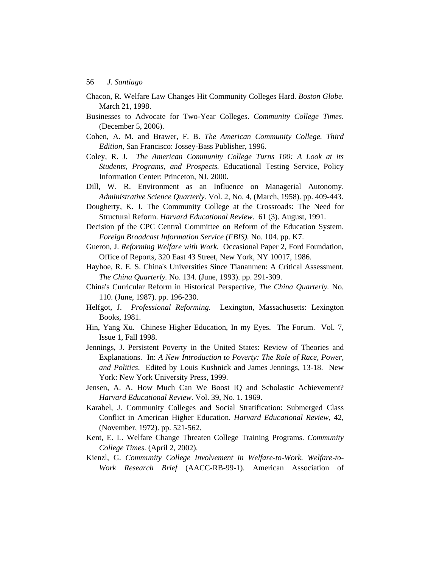- Chacon, R. Welfare Law Changes Hit Community Colleges Hard. *Boston Globe*. March 21, 1998.
- Businesses to Advocate for Two-Year Colleges. *Community College Times*. (December 5, 2006).
- Cohen, A. M. and Brawer, F. B. *The American Community College. Third Edition,* San Francisco: Jossey-Bass Publisher, 1996.
- Coley, R. J. *The American Community College Turns 100: A Look at its Students, Programs, and Prospects.* Educational Testing Service, Policy Information Center: Princeton, NJ, 2000.
- Dill, W. R. Environment as an Influence on Managerial Autonomy. *Administrative Science Quarterly.* Vol. 2, No. 4, (March, 1958). pp. 409-443.
- Dougherty, K. J. The Community College at the Crossroads: The Need for Structural Reform. *Harvard Educational Review.* 61 (3). August, 1991.
- Decision pf the CPC Central Committee on Reform of the Education System. *Foreign Broadcast Information Service (FBIS).* No. 104. pp. K7.
- Gueron, J. *Reforming Welfare with Work.* Occasional Paper 2, Ford Foundation, Office of Reports, 320 East 43 Street, New York, NY 10017, 1986.
- Hayhoe, R. E. S. China's Universities Since Tiananmen: A Critical Assessment. *The China Quarterly.* No. 134. (June, 1993). pp. 291-309.
- China's Curricular Reform in Historical Perspective, *The China Quarterly.* No. 110. (June, 1987). pp. 196-230.
- Helfgot, J. *Professional Reforming.* Lexington, Massachusetts: Lexington Books, 1981.
- Hin, Yang Xu. Chinese Higher Education, In my Eyes. The Forum. Vol. 7, Issue 1, Fall 1998.
- Jennings, J. Persistent Poverty in the United States: Review of Theories and Explanations. In: *A New Introduction to Poverty: The Role of Race, Power, and Politics*. Edited by Louis Kushnick and James Jennings, 13-18. New York: New York University Press, 1999.
- Jensen, A. A. How Much Can We Boost IQ and Scholastic Achievement? *Harvard Educational Review.* Vol. 39, No. 1. 1969.
- Karabel, J. Community Colleges and Social Stratification: Submerged Class Conflict in American Higher Education. *Harvard Educational Review*, 42, (November, 1972). pp. 521-562.
- Kent, E. L. Welfare Change Threaten College Training Programs. *Community College Times.* (April 2, 2002).
- Kienzl, G. *Community College Involvement in Welfare-to-Work. Welfare-to-Work Research Brief* (AACC-RB-99-1). American Association of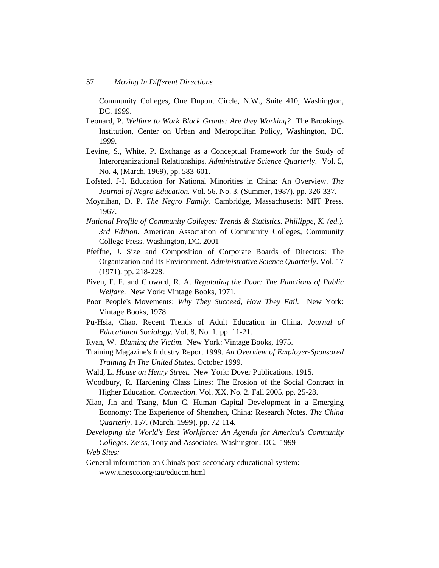Community Colleges, One Dupont Circle, N.W., Suite 410, Washington, DC. 1999.

- Leonard, P. *Welfare to Work Block Grants: Are they Working?* The Brookings Institution, Center on Urban and Metropolitan Policy, Washington, DC. 1999.
- Levine, S., White, P. Exchange as a Conceptual Framework for the Study of Interorganizational Relationships. *Administrative Science Quarterly*. Vol. 5, No. 4, (March, 1969), pp. 583-601.
- Lofsted, J-I. Education for National Minorities in China: An Overview. *The Journal of Negro Education.* Vol. 56. No. 3. (Summer, 1987). pp. 326-337.
- Moynihan, D. P. *The Negro Family.* Cambridge, Massachusetts: MIT Press. 1967.
- *National Profile of Community Colleges: Trends & Statistics. Phillippe, K. (ed.). 3rd Edition.* American Association of Community Colleges, Community College Press. Washington, DC. 2001
- Pfeffne, J. Size and Composition of Corporate Boards of Directors: The Organization and Its Environment. *Administrative Science Quarterly*. Vol. 17 (1971). pp. 218-228.
- Piven, F. F. and Cloward, R. A. *Regulating the Poor: The Functions of Public Welfare*. New York: Vintage Books, 1971.
- Poor People's Movements: *Why They Succeed, How They Fail.* New York: Vintage Books, 1978.
- Pu-Hsia, Chao. Recent Trends of Adult Education in China. *Journal of Educational Sociology.* Vol. 8, No. 1. pp. 11-21.
- Ryan, W. *Blaming the Victim.* New York: Vintage Books, 1975.
- Training Magazine's Industry Report 1999. *An Overview of Employer-Sponsored Training In The United States.* October 1999.
- Wald, L. *House on Henry Street*. New York: Dover Publications. 1915.
- Woodbury, R. Hardening Class Lines: The Erosion of the Social Contract in Higher Education. *Connection.* Vol. XX, No. 2. Fall 2005. pp. 25-28.
- Xiao, Jin and Tsang, Mun C. Human Capital Development in a Emerging Economy: The Experience of Shenzhen, China: Research Notes. *The China Quarterly*. 157. (March, 1999). pp. 72-114.
- *Developing the World's Best Workforce: An Agenda for America's Community Colleges*. Zeiss, Tony and Associates. Washington, DC. 1999 *Web Sites:*
- General information on China's post-secondary educational system: www.unesco.org/iau/educcn.html